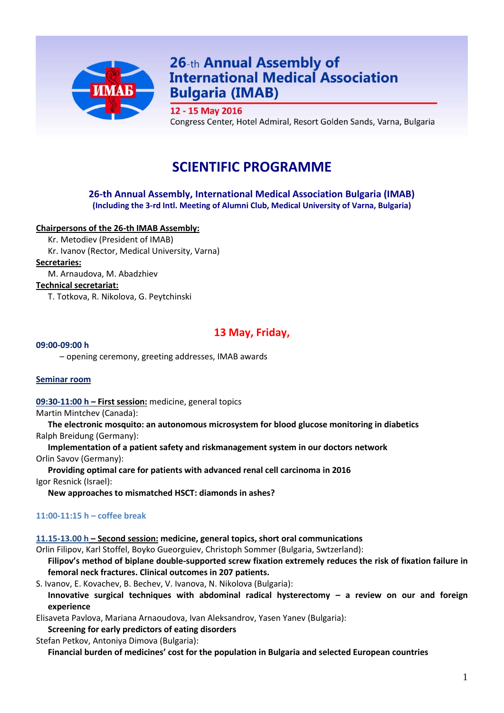

# 26-th Annual Assembly of **International Medical Association Bulgaria (IMAB)**

12 - 15 May 2016

Congress Center, Hotel Admiral, Resort Golden Sands, Varna, Bulgaria

# **SCIENTIFIC PROGRAMME**

## **26-th Annual Assembly, International Medical Association Bulgaria (IMAB) (Including the 3-rd Intl. Meeting of Alumni Club, Medical University of Varna, Bulgaria)**

## **Chairpersons of the 26-th IMAB Assembly:**

Kr. Metodiev (President of IMAB) Kr. Ivanov (Rector, Medical University, Varna)

**Secretaries:**

M. Arnaudova, M. Abadzhiev

#### **Technical secretariat:**

T. Totkova, R. Nikolova, G. Peytchinski

# **13 May, Friday,**

#### **09:00-09:00 h**

– opening ceremony, greeting addresses, IMAB awards

#### **Seminar room**

**09:30-11:00 h – First session:** medicine, general topics

Martin Mintchev (Canada):

**The electronic mosquito: an autonomous microsystem for blood glucose monitoring in diabetics** Ralph Breidung (Germany):

**Implementation of a patient safety and riskmanagement system in our doctors network** Orlin Savov (Germany):

**Providing optimal care for patients with advanced renal cell carcinoma in 2016** Igor Resnick (Israel):

**New approaches to mismatched HSCT: diamonds in ashes?**

#### **11:00-11:15 h – coffee break**

**11.15-13.00 h – Second session: medicine, general topics, short oral communications**

Orlin Filipov, Karl Stoffel, Boyko Gueorguiev, Christoph Sommer (Bulgaria, Swtzerland):

**Filipov's method of biplane double-supported screw fixation extremely reduces the risk of fixation failure in femoral neck fractures. Clinical outcomes in 207 patients.**

S. Ivanov, E. Kovachev, B. Bechev, V. Ivanova, N. Nikolova (Bulgaria): **Innovative surgical techniques with abdominal radical hysterectomy – a review on our and foreign experience** 

Elisaveta Pavlova, Mariana Arnaoudova, Ivan Aleksandrov, Yasen Yanev (Bulgaria):

**Screening for early predictors of eating disorders**

Stefan Petkov, Antoniya Dimova (Bulgaria):

**Financial burden of medicines' cost for the population in Bulgaria and selected European countries**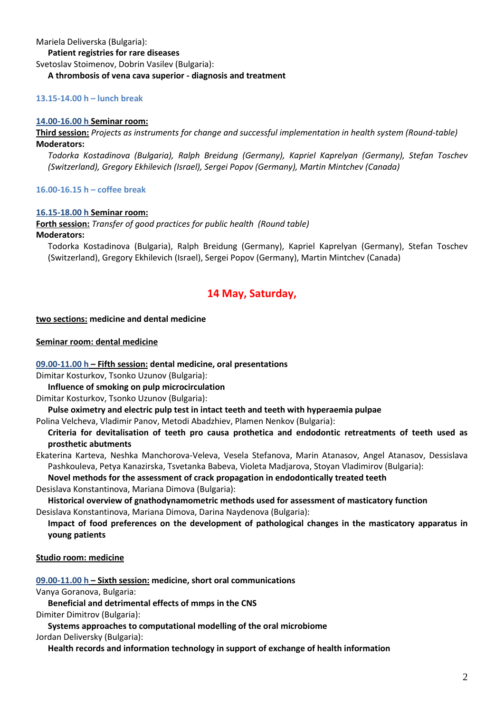Mariela Deliverska (Bulgaria):

#### **Patient registries for rare diseases**

Svetoslav Stoimenov, Dobrin Vasilev (Bulgaria):

#### **A thrombosis of vena cava superior - diagnosis and treatment**

#### **13.15-14.00 h – lunch break**

#### **14.00-16.00 h Seminar room:**

**Third session:** *Projects as instruments for change and successful implementation in health system (Round-table)* **Moderators:** 

*Todorka Kostadinova (Bulgaria), Ralph Breidung (Germany), Kapriel Kaprelyan (Germany), Stefan Toschev (Switzerland), Gregory Ekhilevich (Israel), Sergei Popov (Germany), Martin Mintchev (Canada)*

#### **16.00-16.15 h – coffee break**

#### **16.15-18.00 h Seminar room:**

**Forth session:** *Transfer of good practices for public health (Round table)* **Moderators:** 

Todorka Kostadinova (Bulgaria), Ralph Breidung (Germany), Kapriel Kaprelyan (Germany), Stefan Toschev (Switzerland), Gregory Ekhilevich (Israel), Sergei Popov (Germany), Martin Mintchev (Canada)

# **14 May, Saturday,**

#### **two sections: medicine and dental medicine**

#### **Seminar room: dental medicine**

#### **09.00-11.00 h – Fifth session: dental medicine, oral presentations**

Dimitar Kosturkov, Tsonko Uzunov (Bulgaria):

**Influence of smoking on pulp microcirculation**

Dimitar Kosturkov, Tsonko Uzunov (Bulgaria):

**Pulse oximetry and electric pulp test in intact teeth and teeth with hyperaemia pulpae**

Polina Velcheva, Vladimir Panov, Metodi Abadzhiev, Plamen Nenkov (Bulgaria):

**Criteria for devitalisation of teeth pro causa prothetica and endodontic retreatments of teeth used as prosthetic abutments**

Ekaterina Karteva, Neshka Manchorova-Veleva, Vesela Stefanova, Marin Atanasov, Angel Atanasov, Dessislava Pashkouleva, Petya Kanazirska, Tsvetanka Babeva, Violeta Madjarova, Stoyan Vladimirov (Bulgaria):

**Novel methods for the assessment of crack propagation in endodontically treated teeth**

Desislava Konstantinova, Mariana Dimova (Bulgaria):

**Historical overview of gnathodynamometric methods used for assessment of masticatory function** Desislava Konstantinova, Mariana Dimova, Darina Naydenova (Bulgaria):

**Impact of food preferences on the development of pathological changes in the masticatory apparatus in young patients**

#### **Studio room: medicine**

**09.00-11.00 h – Sixth session: medicine, short oral communications**

Vanya Goranova, Bulgaria:

**Beneficial and detrimental effects of mmps in the CNS**

Dimiter Dimitrov (Bulgaria):

**Systems approaches to computational modelling of the oral microbiome**

Jordan Deliversky (Bulgaria):

**Health records and information technology in support of exchange of health information**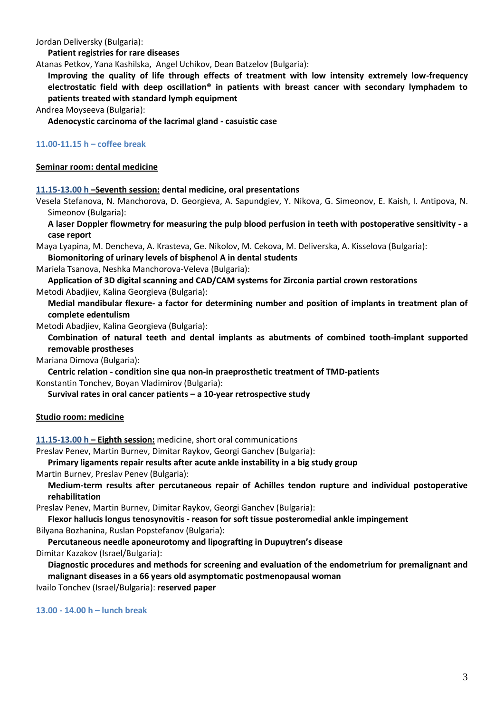Jordan Deliversky (Bulgaria):

**Patient registries for rare diseases**

Atanas Petkov, Yana Kashilska, Angel Uchikov, Dean Batzelov (Bulgaria):

**Improving the quality of life through effects of treatment with low intensity extremely low-frequency electrostatic field with deep oscillation® in patients with breast cancer with secondary lymphadem to patients treated with standard lymph equipment**

Andrea Moyseeva (Bulgaria):

**Adenocystic carcinoma of the lacrimal gland - casuistic case**

#### **11.00-11.15 h – coffee break**

#### **Seminar room: dental medicine**

**11.15-13.00 h –Seventh session: dental medicine, oral presentations**

Vesela Stefanova, N. Manchorova, D. Georgieva, A. Sapundgiev, Y. Nikova, G. Simeonov, E. Kaish, I. Antipova, N. Simeonov (Bulgaria):

**A laser Doppler flowmetry for measuring the pulp blood perfusion in teeth with postoperative sensitivity - a case report**

Maya Lyapina, M. Dencheva, A. Krasteva, Ge. Nikolov, M. Cekova, M. Deliverska, A. Kisselova (Bulgaria):

**Biomonitoring of urinary levels of bisphenol A in dental students**

Mariela Tsanova, Neshka Manchorova-Veleva (Bulgaria):

**Application of 3D digital scanning and CAD/CAM systems for Zirconia partial crown restorations** Metodi Abadjiev, Kalina Georgieva (Bulgaria):

**Medial mandibular flexure- a factor for determining number and position of implants in treatment plan of complete edentulism**

Metodi Abadjiev, Kalina Georgieva (Bulgaria):

**Combination of natural teeth and dental implants as abutments of combined tooth-implant supported removable prostheses**

Mariana Dimova (Bulgaria):

**Centric relation - condition sine qua non-in praeprosthetic treatment of TMD-patients**

Konstantin Tonchev, Boyan Vladimirov (Bulgaria):

**Survival rates in oral cancer patients – a 10-year retrospective study**

#### **Studio room: medicine**

**11.15-13.00 h – Eighth session:** medicine, short oral communications

Preslav Penev, Martin Burnev, Dimitar Raykov, Georgi Ganchev (Bulgaria):

#### **Primary ligaments repair results after acute ankle instability in a big study group**

Martin Burnev, Preslav Penev (Bulgaria):

**Medium-term results after percutaneous repair of Achilles tendon rupture and individual postoperative rehabilitation**

Preslav Penev, Martin Burnev, Dimitar Raykov, Georgi Ganchev (Bulgaria):

**Flexor hallucis longus tenosynovitis - reason for soft tissue posteromedial ankle impingement** Bilyana Bozhanina, Ruslan Popstefanov (Bulgaria):

**Percutaneous needle aponeurotomy and lipografting in Dupuytren's disease**

Dimitar Kazakov (Israel/Bulgaria):

**Diagnostic procedures and methods for screening and evaluation of the endometrium for premalignant and malignant diseases in a 66 years old asymptomatic postmenopausal woman** Ivailo Tonchev (Israel/Bulgaria): **reserved paper**

**13.00 - 14.00 h – lunch break**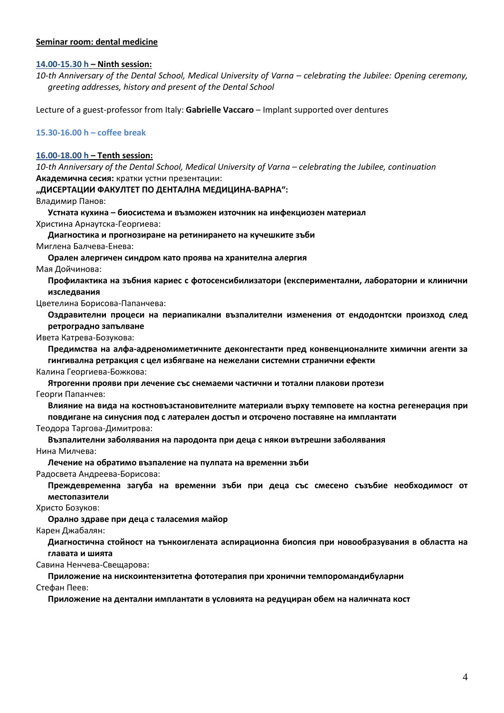#### **Seminar room: dental medicine**

#### **14.00-15.30 h – Ninth session:**

10-th Anniversary of the Dental School, Medical University of Varna – celebrating the Jubilee: Opening ceremony, *greeting addresses, history and present of the Dental School* 

Lecture of a guest-professor from Italy: **Gabrielle Vaccaro** – Implant supported over dentures

#### **15.30-16.00 h – coffee break**

#### **16.00-18.00 h – Tenth session:**

*10-th Anniversary of the Dental School, Medical University of Varna – celebrating the Jubilee, continuation* **Академична сесия:** кратки устни презентации:

#### **"ДИСЕРТАЦИИ ФАКУЛТЕТ ПО ДЕНТАЛНА МЕДИЦИНА-ВАРНА":**

Владимир Панов:

**Устната кухина – биосистема и възможен източник на инфекциозен материал** Христина Арнаутска-Георгиева:

**Диагностика и прогнозиране на ретинирането на кучешките зъби**

Миглена Балчева-Енева:

**Орален алергичен синдром като проява на хранителна алергия** Мая Дойчинова:

**Профилактика на зъбния кариес с фотосенсибилизатори (експериментални, лабораторни и клинични изследвания**

Цветелина Борисова-Папанчева:

**Оздравителни процеси на периапикални възпалителни изменения от ендодонтски произход след ретроградно запълване**

Ивета Катрева-Бозукова:

**Предимства на алфа-адреномиметичните деконгестанти пред конвенционалните химични агенти за гингивална ретракция с цел избягване на нежелани системни странични ефекти**

Калина Георгиева-Божкова:

**Ятрогенни прояви при лечение със снемаеми частични и тотални плакови протези**

Георги Папанчев:

**Влияние на вида на костновъзстановителните материали върху темповете на костна регенерация при** 

**повдигане на синусния под с латерален достъп и отсрочено поставяне на имплантати**

Теодора Таргова-Димитрова:

**Възпалителни заболявания на пародонта при деца с някои вътрешни заболявания**

Нина Милчева:

**Лечение на обратимо възпаление на пулпата на временни зъби**

Радосвета Андреева-Борисова:

**Преждевременна загуба на временни зъби при деца със смесено съзъбие необходимост от местопазители**

Христо Бозуков:

**Орално здраве при деца с таласемия майор**

Карен Джабалян:

**Диагностична стойност на тънкоиглената аспирационна биопсия при новообразувания в областта на главата и шията**

Савина Ненчева-Свещарова:

**Приложение на нискоинтензитетна фототерапия при хронични темпоромандибуларни**

Стефан Пеев:

**Приложение на дентални имплантати в условията на редуциран обем на наличната кост**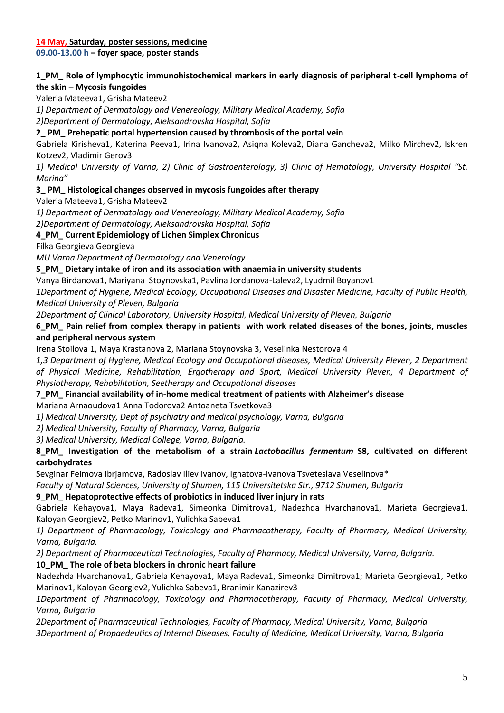#### **14 May, Saturday, poster sessions, medicine**

**09.00-13.00 h – foyer space, poster stands**

## **1\_PM\_ Role of lymphocytic immunohistochemical markers in early diagnosis of peripheral t-cell lymphoma of the skin – Mycosis fungoides**

Valeria Mateeva1, Grisha Mateev2

*1) Department of Dermatology and Venereology, Military Medical Academy, Sofia*

*2)Department of Dermatology, Aleksandrovska Hospital, Sofia*

#### **2\_ PM\_ Prehepatic portal hypertension caused by thrombosis of the portal vein**

Gabriela Kirisheva1, Katerina Peeva1, Irina Ivanova2, Asiqna Koleva2, Diana Gancheva2, Milko Mirchev2, Iskren Kotzev2, Vladimir Gerov3

*1) Medical University of Varna, 2) Clinic of Gastroenterology, 3) Clinic of Hematology, University Hospital "St. Marina"*

#### **3\_ PM\_ Histological changes observed in mycosis fungoides after therapy**

Valeria Mateeva1, Grisha Mateev2

*1) Department of Dermatology and Venereology, Military Medical Academy, Sofia*

*2)Department of Dermatology, Aleksandrovska Hospital, Sofia*

#### **4\_PM\_ Current Epidemiology of Lichen Simplex Chronicus**

Filka Georgieva Georgieva

*MU Varna Department of Dermatology and Venerology*

#### **5\_PM\_ Dietary intake of iron and its association with anaemia in university students**

Vanya Birdanova1, Mariyana Stoynovska1, Pavlina Jordanova-Laleva2, Lyudmil Boyanov1

*1Department of Hygiene, Medical Ecology, Occupational Diseases and Disaster Medicine, Faculty of Public Health, Medical University of Pleven, Bulgaria*

*2Department of Clinical Laboratory, University Hospital, Medical University of Pleven, Bulgaria*

## **6\_PM\_ Pain relief from complex therapy in patients with work related diseases of the bones, joints, muscles and peripheral nervous system**

Irena Stoilova 1, Maya Krastanova 2, Mariana Stoynovska 3, Veselinka Nestorova 4

*1,3 Department of Hygiene, Medical Ecology and Occupational diseases, Medical University Pleven, 2 Department of Physical Medicine, Rehabilitation, Ergotherapy and Sport, Medical University Pleven, 4 Department of Physiotherapy, Rehabilitation, Seetherapy and Occupational diseases*

## **7\_PM\_ Financial availability of in-home medical treatment of patients with Alzheimer's disease**

Mariana Arnaoudova1 Anna Todorova2 Antoaneta Tsvetkova3

*1) Medical University, Dept of psychiatry and medical psychology, Varna, Bulgaria* 

*2) Medical University, Faculty of Pharmacy, Varna, Bulgaria*

*3) Medical University, Medical College, Varna, Bulgaria.*

## **8\_PM\_ Investigation of the metabolism of a strain** *Lactobacillus fermentum* **S8, cultivated on different carbohydrates**

Sevginar Feimova Ibrjamova, Radoslav Iliev Ivanov, Ignatova-Ivanova Tsveteslava Veselinova\*

*Faculty of Natural Sciences, University of Shumen, 115 Universitetska Str., 9712 Shumen, Bulgaria*

## **9\_PM\_ Hepatoprotective effects of probiotics in induced liver injury in rats**

Gabriela Kehayova1, Maya Radeva1, Simeonka Dimitrova1, Nadezhda Hvarchanova1, Marieta Georgieva1, Kaloyan Georgiev2, Petko Marinov1, Yulichka Sabeva1

*1) Department of Pharmacology, Toxicology and Pharmacotherapy, Faculty of Pharmacy, Medical University, Varna, Bulgaria.*

*2) Department of Pharmaceutical Technologies, Faculty of Pharmacy, Medical University, Varna, Bulgaria.* **10\_PM\_ The role of beta blockers in chronic heart failure**

Nadezhda Hvarchanova1, Gabriela Kehayova1, Maya Radeva1, Simeonka Dimitrova1; Marieta Georgieva1, Petko Marinov1, Kaloyan Georgiev2, Yulichka Sabeva1, Branimir Kanazirev3

*1Department of Pharmacology, Toxicology and Pharmacotherapy, Faculty of Pharmacy, Medical University, Varna, Bulgaria*

*2Department of Pharmaceutical Technologies, Faculty of Pharmacy, Medical University, Varna, Bulgaria 3Department of Propaedeutics of Internal Diseases, Faculty of Medicine, Medical University, Varna, Bulgaria*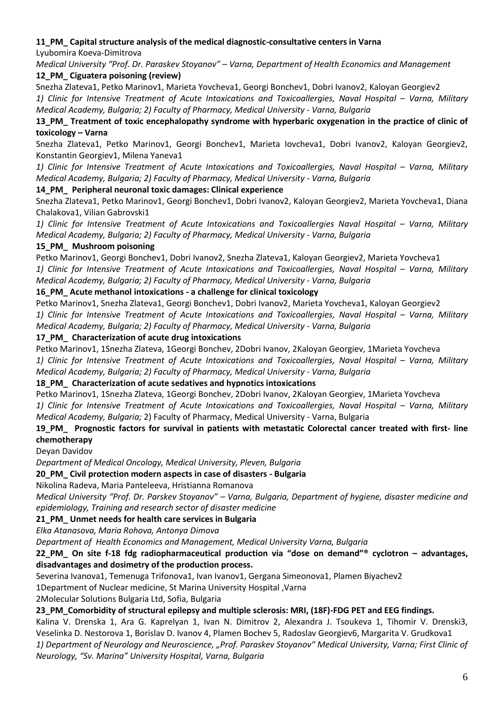## **11\_PM\_ Capital structure analysis of the medical diagnostic-consultative centers in Varna**

Lyubomira Koeva-Dimitrova

*Medical University "Prof. Dr. Paraskev Stoyanov" – Varna, Department of Health Economics and Management* **12\_PM\_ Ciguatera poisoning (review)**

Snezha Zlateva1, Petko Marinov1, Marieta Yovcheva1, Georgi Bonchev1, Dobri Ivanov2, Kaloyan Georgiev2

1) Clinic for Intensive Treatment of Acute Intoxications and Toxicoallergies, Naval Hospital – Varna, Military *Medical Academy, Bulgaria; 2) Faculty of Pharmacy, Medical University - Varna, Bulgaria*

**13\_PM\_ Treatment of toxic encephalopathy syndrome with hyperbaric oxygenation in the practice of clinic of toxicology – Varna**

Snezha Zlateva1, Petko Marinov1, Georgi Bonchev1, Marieta Iovcheva1, Dobri Ivanov2, Kaloyan Georgiev2, Konstantin Georgiev1, Milena Yaneva1

1) Clinic for Intensive Treatment of Acute Intoxications and Toxicoallergies, Naval Hospital – Varna, Military *Medical Academy, Bulgaria; 2) Faculty of Pharmacy, Medical University - Varna, Bulgaria*

## **14\_PM\_ Peripheral neuronal toxic damages: Clinical experience**

Snezha Zlateva1, Petko Marinov1, Georgi Bonchev1, Dobri Ivanov2, Kaloyan Georgiev2, Marieta Yovcheva1, Diana Chalakova1, Vilian Gabrovski1

1) Clinic for Intensive Treatment of Acute Intoxications and Toxicoallergies Naval Hospital – Varna, Military *Medical Academy, Bulgaria; 2) Faculty of Pharmacy, Medical University - Varna, Bulgaria*

## **15\_PM\_ Mushroom poisoning**

Petko Marinov1, Georgi Bonchev1, Dobri Ivanov2, Snezha Zlateva1, Kaloyan Georgiev2, Marieta Yovcheva1 1) Clinic for Intensive Treatment of Acute Intoxications and Toxicoallergies, Naval Hospital – Varna, Military *Medical Academy, Bulgaria; 2) Faculty of Pharmacy, Medical University - Varna, Bulgaria*

## **16\_PM\_ Acute methanol intoxications - a challenge for clinical toxicology**

Petko Marinov1, Snezha Zlateva1, Georgi Bonchev1, Dobri Ivanov2, Marieta Yovcheva1, Kaloyan Georgiev2 1) Clinic for Intensive Treatment of Acute Intoxications and Toxicoallergies, Naval Hospital – Varna, Military *Medical Academy, Bulgaria; 2) Faculty of Pharmacy, Medical University - Varna, Bulgaria*

## **17\_PM\_ Characterization of acute drug intoxications**

Petko Marinov1, 1Snezha Zlateva, 1Georgi Bonchev, 2Dobri Ivanov, 2Kaloyan Georgiev, 1Marieta Yovcheva 1) Clinic for Intensive Treatment of Acute Intoxications and Toxicoallergies, Naval Hospital – Varna, Military *Medical Academy, Bulgaria; 2) Faculty of Pharmacy, Medical University - Varna, Bulgaria*

## **18\_PM\_ Characterization of acute sedatives and hypnotics intoxications**

Petko Marinov1, 1Snezha Zlateva, 1Georgi Bonchev, 2Dobri Ivanov, 2Kaloyan Georgiev, 1Marieta Yovcheva 1) Clinic for Intensive Treatment of Acute Intoxications and Toxicoallergies, Naval Hospital – Varna, Military *Medical Academy, Bulgaria;* 2) Faculty of Pharmacy, Medical University - Varna, Bulgaria

# **19\_PM\_ Prognostic factors for survival in patients with metastatic Colorectal cancer treated with first- line chemotherapy**

Deyan Davidov

*Department of Medical Oncology, Medical University, Pleven, Bulgaria*

## **20\_PM\_ Civil protection modern aspects in case of disasters - Bulgaria**

## Nikolina Radeva, Maria Panteleeva, Hristianna Romanova

*Medical University "Prof. Dr. Parskev Stoyanov" – Varna, Bulgaria, Department of hygiene, disaster medicine and epidemiology, Training and research sector of disaster medicine*

# **21\_PM\_ Unmet needs for health care services in Bulgaria**

*Elka Atanasova, Maria Rohova, Antonya Dimova*

*Department of Health Economics and Management, Medical University Varna, Bulgaria*

**22\_PM\_ On site f-18 fdg radiopharmaceutical production via "dose on demand"® cyclotron – advantages, disadvantages and dosimetry of the production process.**

Severina Ivanova1, Temenuga Trifonova1, Ivan Ivanov1, Gergana Simeonova1, Plamen Biyachev2

1Department of Nuclear medicine, St Marina University Hospital ,Varna

2Molecular Solutions Bulgaria Ltd, Sofia, Bulgaria

# **23\_PM\_Comorbidity of structural epilepsy and multiple sclerosis: MRI, (18F)-FDG PET and EEG findings.**

Kalina V. Drenska 1, Ara G. Kaprelyan 1, Ivan N. Dimitrov 2, Alexandra J. Tsoukeva 1, Tihomir V. Drenski3, Veselinka D. Nestorova 1, Borislav D. Ivanov 4, Plamen Bochev 5, Radoslav Georgiev6, Margarita V. Grudkova1 *1) Department of Neurology and Neuroscience, "Prof. Paraskev Stoyanov" Medical University, Varna; First Clinic of Neurology, "Sv. Marina" University Hospital, Varna, Bulgaria*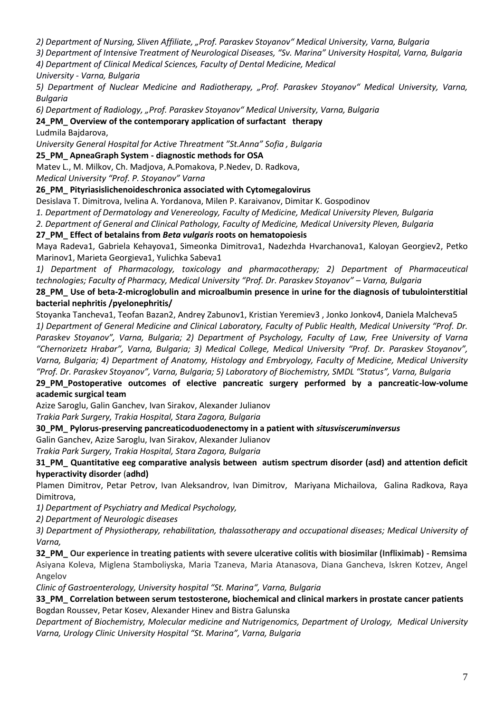*2) Department of Nursing, Sliven Affiliate, "Prof. Paraskev Stoyanov" Medical University, Varna, Bulgaria*

*3) Department of Intensive Treatment of Neurological Diseases, "Sv. Marina" University Hospital, Varna, Bulgaria*

*4) Department of Clinical Medical Sciences, Faculty of Dental Medicine, Medical*

*University - Varna, Bulgaria*

*5) Department of Nuclear Medicine and Radiotherapy, "Prof. Paraskev Stoyanov" Medical University, Varna, Bulgaria*

*6) Department of Radiology, "Prof. Paraskev Stoyanov" Medical University, Varna, Bulgaria*

**24\_PM\_ Overview of the contemporary application of surfactant therapy**

Ludmila Bajdarova,

*University General Hospital for Active Threatment "St.Anna" Sofia , Bulgaria*

## **25\_PM\_ ApneaGraph System - diagnostic methods for OSA**

Matev L., M. Milkov, Ch. Madjova, A.Pomakova, P.Nedev, D. Radkova,

*Medical University "Prof. P. Stoyanov" Varna*

## **26\_PM\_ Pityriasislichenoideschronica associated with Cytomegalovirus**

Desislava T. Dimitrova, Ivelina A. Yordanova, Milen P. Karaivanov, Dimitar K. Gospodinov

*1. Department of Dermatology and Venereology, Faculty of Medicine, Medical University Pleven, Bulgaria*

*2. Department of General and Clinical Pathology, Faculty of Medicine, Medical University Pleven, Bulgaria*

## **27\_PM\_ Effect of betalains from** *Beta vulgaris* **roots on hematopoiesis**

Maya Radeva1, Gabriela Kehayova1, Simeonka Dimitrova1, Nadezhda Hvarchanova1, Kaloyan Georgiev2, Petko Marinov1, Marieta Georgieva1, Yulichka Sabeva1

*1) Department of Pharmacology, toxicology and pharmacotherapy; 2) Department of Pharmaceutical technologies; Faculty of Pharmacy, Medical University "Prof. Dr. Paraskev Stoyanov" – Varna, Bulgaria*

## **28\_PM\_ Use of beta-2-microglobulin and microalbumin presence in urine for the diagnosis of tubulointerstitial bacterial nephritis /pyelonephritis/**

Stoyanka Tancheva1, Teofan Bazan2, Andrey Zabunov1, Kristian Yeremiev3 , Jonko Jonkov4, Daniela Malcheva5 *1) Department of General Medicine and Clinical Laboratory, Faculty of Public Health, Medical University "Prof. Dr. Paraskev Stoyanov", Varna, Bulgaria; 2) Department of Psychology, Faculty of Law, Free University of Varna "Chernorizetz Hrabar", Varna, Bulgaria; 3) Medical College, Medical University "Prof. Dr. Paraskev Stoyanov", Varna, Bulgaria; 4) Department of Anatomy, Histology and Embryology, Faculty of Medicine, Medical University "Prof. Dr. Paraskev Stoyanov", Varna, Bulgaria; 5) Laboratory of Biochemistry, SMDL "Status", Varna, Bulgaria*

## **29\_PM\_Postoperative outcomes of elective pancreatic surgery performed by a pancreatic-low-volume academic surgical team**

Azize Saroglu, Galin Ganchev, Ivan Sirakov, Alexander Julianov

*Trakia Park Surgery, Trakia Hospital, Stara Zagora, Bulgaria*

**30\_PM\_ Pylorus-preserving pancreaticoduodenectomy in a patient with** *situsvisceruminversus*

Galin Ganchev, Azize Saroglu, Ivan Sirakov, Alexander Julianov

*Trakia Park Surgery, Trakia Hospital, Stara Zagora, Bulgaria*

## **31\_PM\_ Quantitative eeg comparative analysis between autism spectrum disorder (asd) and attention deficit hyperactivity disorder** (**adhd)**

Plamen Dimitrov, Petar Petrov, Ivan Aleksandrov, Ivan Dimitrov, Mariyana Michailova, Galina Radkova, Raya Dimitrova,

*1) Department of Psychiatry and Medical Psychology,* 

*2) Department of Neurologic diseases*

*3) Department of Physiotherapy, rehabilitation, thalassotherapy and occupational diseases; Medical University of Varna,* 

**32\_PM\_ Our experience in treating patients with severe ulcerative colitis with biosimilar (Infliximab) - Remsima**  Asiyana Koleva, Miglena Stamboliyska, Maria Tzaneva, Maria Atanasova, Diana Gancheva, Iskren Kotzev, Angel Angelov

*Clinic of Gastroenterology, University hospital "St. Marina", Varna, Bulgaria*

## **33\_PM\_ Correlation between serum testosterone, biochemical and clinical markers in prostate cancer patients** Bogdan Roussev, Petar Kosev, Alexander Hinev and Bistra Galunska

*Department of Biochemistry, Molecular medicine and Nutrigenomics, Department of Urology, Medical University Varna, Urology Clinic University Hospital "St. Marina", Varna, Bulgaria*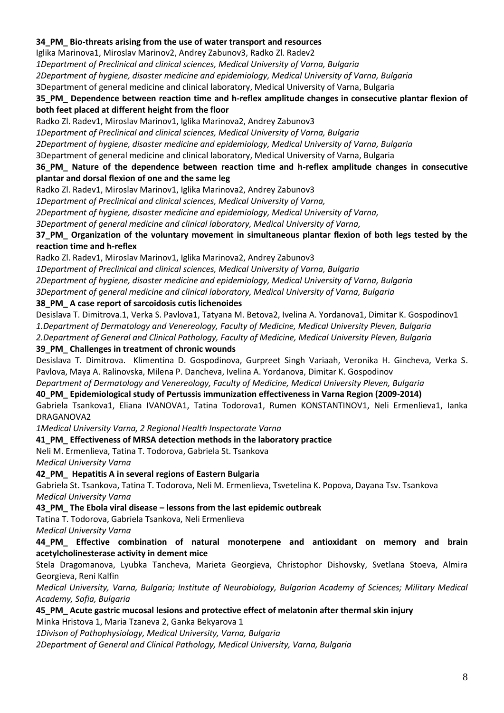#### **34\_PM\_ Bio-threats arising from the use of water transport and resources**

Iglika Marinova1, Мiroslav Маrinov2, Аndrey Zabunov3, Radko Zl. Radev2

*1Department of Preclinical and clinical sciences, Medical University of Varna, Bulgaria*

*2Department of hygiene, disaster medicine and epidemiology, Medical University of Varna, Bulgaria*

3Department of general medicine and clinical laboratory, Medical University of Varna, Bulgaria

#### **35\_PM\_ Dependence between reaction time and h-reflex amplitude changes in consecutive plantar flexion of both feet placed at different height from the floor**

Radko Zl. Radev1, Miroslav Marinov1, Iglika Marinova2, Andrey Zabunov3

*1Department of Preclinical and clinical sciences, Medical University of Varna, Bulgaria*

*2Department of hygiene, disaster medicine and epidemiology, Medical University of Varna, Bulgaria*

3Department of general medicine and clinical laboratory, Medical University of Varna, Bulgaria

#### **36\_PM\_ Nature of the dependence between reaction time and h-reflex amplitude changes in consecutive plantar and dorsal flexion of one and the same leg**

Radko Zl. Radev1, Miroslav Marinov1, Iglika Marinova2, Andrey Zabunov3

*1Department of Preclinical and clinical sciences, Medical University of Varna,* 

*2Department of hygiene, disaster medicine and epidemiology, Medical University of Varna,* 

*3Department of general medicine and clinical laboratory, Medical University of Varna,* 

#### **37\_PM\_ Organization of the voluntary movement in simultaneous plantar flexion of both legs tested by the reaction time and h-reflex**

Radko Zl. Radev1, Miroslav Marinov1, Iglika Marinova2, Andrey Zabunov3

*1Department of Preclinical and clinical sciences, Medical University of Varna, Bulgaria*

*2Department of hygiene, disaster medicine and epidemiology, Medical University of Varna, Bulgaria*

*3Department of general medicine and clinical laboratory, Medical University of Varna, Bulgaria*

## **38\_PM\_ A case report of sarcoidosis cutis lichenoides**

Desislava T. Dimitrova.1, Verka S. Pavlova1, Tatyana M. Betova2, Ivelina A. Yordanova1, Dimitar K. Gospodinov1 *1.Department of Dermatology and Venereology, Faculty of Medicine, Medical University Pleven, Bulgaria 2.Department of General and Clinical Pathology, Faculty of Medicine, Medical University Pleven, Bulgaria*

## **39\_PM\_ Challenges in treatment of chronic wounds**

Desislava T. Dimitrova. Klimentina D. Gospodinova, Gurpreet Singh Variaah, Veronika H. Gincheva, Verka S. Pavlova, Maya A. Ralinovska, Milena P. Dancheva, Ivelina A. Yordanova, Dimitar K. Gospodinov

*Department of Dermatology and Venereology, Faculty of Medicine, Medical University Pleven, Bulgaria*

## **40\_PM\_ Epidemiological study of Pertussis immunization effectiveness in Varna Region (2009-2014)**

Gabriela Tsankova1, Eliana IVANOVA1, Tatina Todorova1, Rumen KONSTANTINOV1, Neli Ermenlieva1, Ianka DRAGANOVA2

*1Medical University Varna, 2 Regional Health Inspectorate Varna*

**41\_PM\_ Effectiveness of MRSA detection methods in the laboratory practice**

Neli M. Ermenlieva, Tatina T. Todorova, Gabriela St. Tsankova

*Medical University Varna*

## **42\_PM\_ Hepatitis A in several regions of Eastern Bulgaria**

Gabriela St. Tsankova, Tatina T. Todorova, Neli M. Ermenlieva, Tsvetelina K. Popova, Dayana Tsv. Tsankova *Medical University Varna*

**43\_PM\_ The Ebola viral disease – lessons from the last epidemic outbreak**

Tatina T. Todorova, Gabriela Tsankova, Neli Ermenlieva

*Medical University Varna*

**44\_PM\_ Effective combination of natural monoterpene and antioxidant on memory and brain acetylcholinesterase activity in dement mice**

Stela Dragomanova, Lyubka Tancheva, Marieta Georgieva, Christophor Dishovsky, Svetlana Stoeva, Almira Georgieva, Reni Kalfin

*Medical University, Varna, Bulgaria; Institute of Neurobiology, Bulgarian Academy of Sciences; Military Medical Academy, Sofia, Bulgaria*

#### **45\_PM\_ Acute gastric mucosal lesions and protective effect of melatonin after thermal skin injury** Minka Hristova 1, Maria Tzaneva 2, Ganka Bekyarova 1

*1Divison of Pathophysiology, Medical University, Varna, Bulgaria*

*2Department of General and Clinical Pathology, Medical University, Varna, Bulgaria*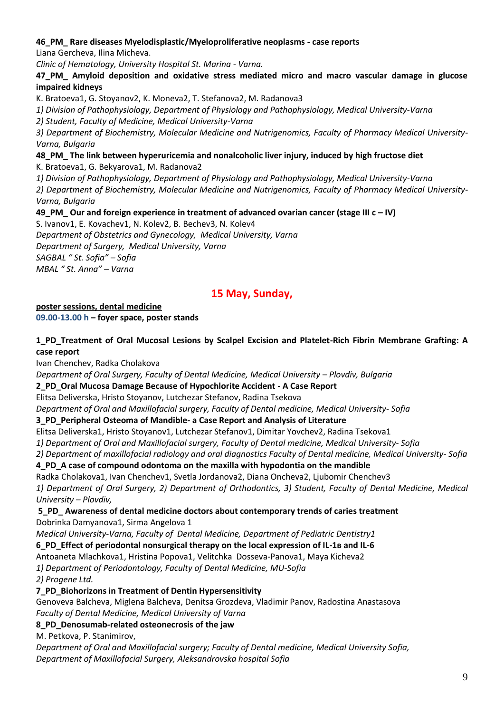## **46\_PM\_ Rare diseases Myelodisplastic/Myeloproliferative neoplasms - case reports**

Liana Gercheva, Ilina Micheva.

*Clinic of Hematology, University Hospital St. Marina - Varna.*

## **47\_PM\_ Amyloid deposition and oxidative stress mediated micro and macro vascular damage in glucose impaired kidneys**

K. Bratoeva1, G. Stoyanov2, K. Moneva2, T. Stefanova2, M. Radanova3

*1) Division of Pathophysiology, Department of Physiology and Pathophysiology, Medical University-Varna*

*2) Student, Faculty of Medicine, Medical University-Varna*

*3) Department of Biochemistry, Molecular Medicine and Nutrigenomics, Faculty of Pharmacy Medical University-Varna, Bulgaria*

**48\_PM\_ The link between hyperuricemia and nonalcoholic liver injury, induced by high fructose diet**

K. Bratoeva1, G. Bekyarova1, M. Radanova2

*1) Division of Pathophysiology, Department of Physiology and Pathophysiology, Medical University-Varna*

*2) Department of Biochemistry, Molecular Medicine and Nutrigenomics, Faculty of Pharmacy Medical University-Varna, Bulgaria*

# **49\_PM\_ Our and foreign experience in treatment of advanced ovarian cancer (stage III c – IV)**

S. Ivanov1, E. Kovachev1, N. Kolev2, B. Bechev3, N. Kolev4 *Department of Obstetrics and Gynecology, Medical University, Varna Department of Surgery, Medical University, Varna SAGBAL " St. Sofia" – Sofia MBAL " St. Anna" – Varna*

# **15 May, Sunday,**

## **poster sessions, dental medicine**

**09.00-13.00 h – foyer space, poster stands** 

# **1\_PD\_Treatment of Oral Mucosal Lesions by Scalpel Excision and Platelet-Rich Fibrin Membrane Grafting: A case report**

Ivan Chenchev, Radka Cholakova

*Department of Oral Surgery, Faculty of Dental Medicine, Medical University - Plovdiv, Bulgaria* 

# **2\_PD\_Oral Mucosa Damage Because of Hypochlorite Accident - A Case Report**

Elitsa Deliverska, Hristo Stoyanov, Lutchezar Stefanov, Radina Tsekova

*Department of Oral and Maxillofacial surgery, Faculty of Dental medicine, Medical University- Sofia*

# **3\_PD\_Peripheral Osteoma of Mandible- a Case Report and Analysis of Literature**

Elitsa Deliverska1, Hristo Stoyanov1, Lutchezar Stefanov1, Dimitar Yovchev2, Radina Tsekova1

*1) Department of Oral and Maxillofacial surgery, Faculty of Dental medicine, Medical University- Sofia* 

*2) Department of maxillofacial radiology and oral diagnostics Faculty of Dental medicine, Medical University- Sofia*

# **4\_PD\_A case of compound odontoma on the maxilla with hypodontia on the mandible**

Radka Cholakova1, Ivan Chenchev1, Svetla Jordanova2, Diana Oncheva2, Ljubomir Chenchev3 *1) Department of Oral Surgery, 2) Department of Orthodontics, 3) Student, Faculty of Dental Medicine, Medical University – Plovdiv,*

# **5\_PD\_ Awareness of dental medicine doctors about contemporary trends of caries treatment** Dobrinka Damyanova1, Sirma Angelova 1

*Medical University-Varna, Faculty of Dental Medicine, Department of Pediatric Dentistry1*

**6\_PD\_Effect of periodontal nonsurgical therapy on the local expression of IL-1в and IL-6** 

Antoaneta Mlachkova1, Hristina Popova1, Velitchka Dosseva-Panova1, Maya Kicheva2

*1) Department of Periodontology, Faculty of Dental Medicine, MU-Sofia*

*2) Progene Ltd.*

# **7\_PD\_Biohorizons in Treatment of Dentin Hypersensitivity**

Genoveva Balcheva, Miglena Balcheva, Denitsa Grozdeva, Vladimir Panov, Radostina Anastasova *Faculty of Dental Medicine, Medical University of Varna*

# **8\_PD\_Denosumab-related osteonecrosis of the jaw**

M. Petkova, P. Stanimirov,

*Department of Oral and Maxillofacial surgery; Faculty of Dental medicine, Medical University Sofia, Department of Maxillofacial Surgery, Aleksandrovska hospital Sofia*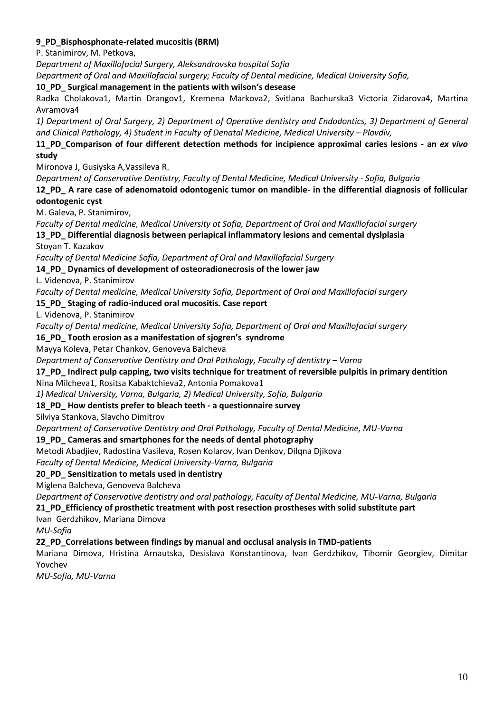## **9\_PD\_Bisphosphonate-related mucositis (BRM)**

P. Stanimirov, M. Petkova,

*Department of Maxillofacial Surgery, Aleksandrovska hospital Sofia*

*Department of Oral and Maxillofacial surgery; Faculty of Dental medicine, Medical University Sofia,*

**10\_PD\_ Surgical management in the patients with wilson's desease**

Radka Cholakova1, Martin Drangov1, Kremena Markova2, Svitlana Bachurska3 Victoria Zidarova4, Martina Avramova4

*1) Department of Oral Surgery, 2) Department of Operative dentistry and Endodontics, 3) Department of General and Clinical Pathology, 4) Student in Faculty of Denatal Medicine, Medical University – Plovdiv,* 

## **11\_PD\_Comparison of four different detection methods for incipience approximal caries lesions - an** *ex vivo* **study**

Mironova J, Gusiyska A,Vassileva R.

*Department of Conservative Dentistry, Faculty of Dental Medicine, Medical University - Sofia, Bulgaria*

**12\_PD\_ A rare case of adenomatoid odontogenic tumor on mandible- in the differential diagnosis of follicular odontogenic cyst**

M. Galeva, P. Stanimirov,

*Faculty of Dental medicine, Medical University ot Sofia, Department of Oral and Maxillofacial surgery* **13\_PD\_ Differential diagnosis between periapical inflammatory lesions and cemental dyslplasia**

Stoyan T. Kazakov

*Faculty of Dental Medicine Sofia, Department of Oral and Maxillofacial Surgery*

## **14\_PD\_ Dynamics of development of osteoradionecrosis of the lower jaw**

L. Videnova, P. Stanimirov

*Faculty of Dental medicine, Medical University Sofia, Department of Oral and Maxillofacial surgery*

**15\_PD\_ Staging of radio-induced oral mucositis. Case report**

L. Videnova, P. Stanimirov

*Faculty of Dental medicine, Medical University Sofia, Department of Oral and Maxillofacial surgery*

## **16\_PD\_ Tooth erosion as a manifestation of sjogren's syndrome**

Mayya Koleva, Petar Chankov, Genoveva Balcheva

*Department of Conservative Dentistry and Oral Pathology, Faculty of dentistry - Varna* 

## **17\_PD\_ Indirect pulp capping, two visits technique for treatment of reversible pulpitis in primary dentition**

## Nina Milcheva1, Rositsa Kabaktchieva2, Antonia Pomakova1

*1) Medical University, Varna, Bulgaria, 2) Medical University, Sofia, Bulgaria*

## **18\_PD\_ How dentists prefer to bleach teeth - a questionnaire survey**

Silviya Stankova, Slavcho Dimitrov

*Department of Conservative Dentistry and Oral Pathology, Faculty of Dental Medicine, MU-Varna*

## **19\_PD\_ Cameras and smartphones for the needs of dental photography**

Metodi Abadjiev, Radostina Vasileva, Rosen Kolarov, Ivan Denkov, Dilqna Djikova

*Faculty of Dental Medicine, Medical University-Varna, Bulgaria*

## **20\_PD\_ Sensitization to metals used in dentistry**

Miglena Balcheva, Genoveva Balcheva

*Department of Conservative dentistry and oral pathology, Faculty of Dental Medicine, MU-Varna, Bulgaria*

# **21\_PD\_Efficiency of prosthetic treatment with post resection prostheses with solid substitute part**

Ivan Gerdzhikov, Mariana Dimova

*MU-Sofia*

# **22\_PD\_Correlations between findings by manual and occlusal analysis in TMD-patients**

Mariana Dimova, Hristina Arnautska, Desislava Konstantinova, Ivan Gerdzhikov, Tihomir Georgiev, Dimitar Yovchev

*MU-Sofia, MU-Varna*